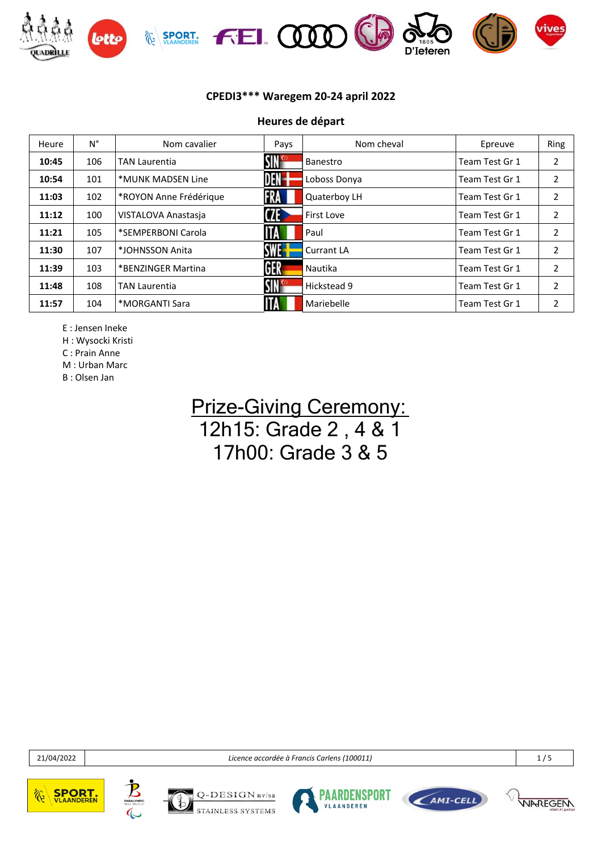

**Heures de départ**

| Heure | $N^{\circ}$ | Nom cavalier           | Pays             | Nom cheval        | Epreuve        | Ring           |
|-------|-------------|------------------------|------------------|-------------------|----------------|----------------|
| 10:45 | 106         | <b>TAN Laurentia</b>   | SIN <sup>e</sup> | Banestro          | Team Test Gr 1 | $\overline{2}$ |
| 10:54 | 101         | *MUNK MADSEN Line      | DEN-             | Loboss Donya      | Team Test Gr 1 | 2              |
| 11:03 | 102         | *ROYON Anne Frédérique | FRA              | Quaterboy LH      | Team Test Gr 1 | 2              |
| 11:12 | 100         | VISTALOVA Anastasja    | <b>CZE</b>       | First Love        | Team Test Gr 1 | 2              |
| 11:21 | 105         | *SEMPERBONI Carola     | ITA              | Paul              | Team Test Gr 1 | 2              |
| 11:30 | 107         | *JOHNSSON Anita        | SWE-             | <b>Currant LA</b> | Team Test Gr 1 | 2              |
| 11:39 | 103         | *BENZINGER Martina     | GER              | Nautika           | Team Test Gr 1 | $\overline{2}$ |
| 11:48 | 108         | <b>TAN Laurentia</b>   | SIN <sup>e</sup> | Hickstead 9       | Team Test Gr 1 | 2              |
| 11:57 | 104         | *MORGANTI Sara         | <b>ITA</b>       | Mariebelle        | Team Test Gr 1 | 2              |

E : Jensen Ineke

H : Wysocki Kristi

C : Prain Anne

M : Urban Marc B : Olsen Jan

## **Prize-Giving Ceremony:** 12h15: Grade 2 , 4 & 1 17h00: Grade 3 & 5

21/04/2022 *Licence accordée à Francis Carlens (100011)* 1 / 5











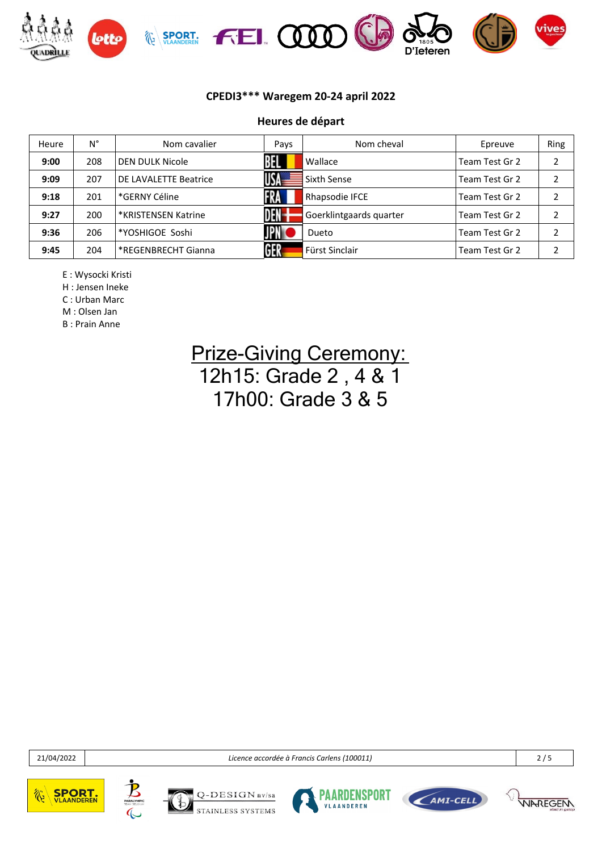

#### **Heures de départ**

| Heure | N°  | Nom cavalier          | Pays       | Nom cheval              | Epreuve        | Ring          |
|-------|-----|-----------------------|------------|-------------------------|----------------|---------------|
| 9:00  | 208 | DEN DULK Nicole       | 昍          | Wallace                 | Team Test Gr 2 | າ             |
| 9:09  | 207 | DE LAVALETTE Beatrice | USA -      | Sixth Sense             | Team Test Gr 2 | ∍             |
| 9:18  | 201 | *GERNY Céline         | <b>FRA</b> | Rhapsodie IFCE          | Team Test Gr 2 |               |
| 9:27  | 200 | *KRISTENSEN Katrine   | DEN-       | Goerklintgaards quarter | Team Test Gr 2 | າ             |
| 9:36  | 206 | *YOSHIGOE Soshi       | <b>JPN</b> | <b>Dueto</b>            | Team Test Gr 2 | $\mathfrak z$ |
| 9:45  | 204 | *REGENBRECHT Gianna   | GER        | Fürst Sinclair          | Team Test Gr 2 | ∍             |

E : Wysocki Kristi

H : Jensen Ineke

C : Urban Marc

M : Olsen Jan B : Prain Anne

> **Prize-Giving Ceremony:** 12h15: Grade 2 , 4 & 1 17h00: Grade 3 & 5

21/04/2022 *Licence accordée à Francis Carlens (100011)* 2 / 5











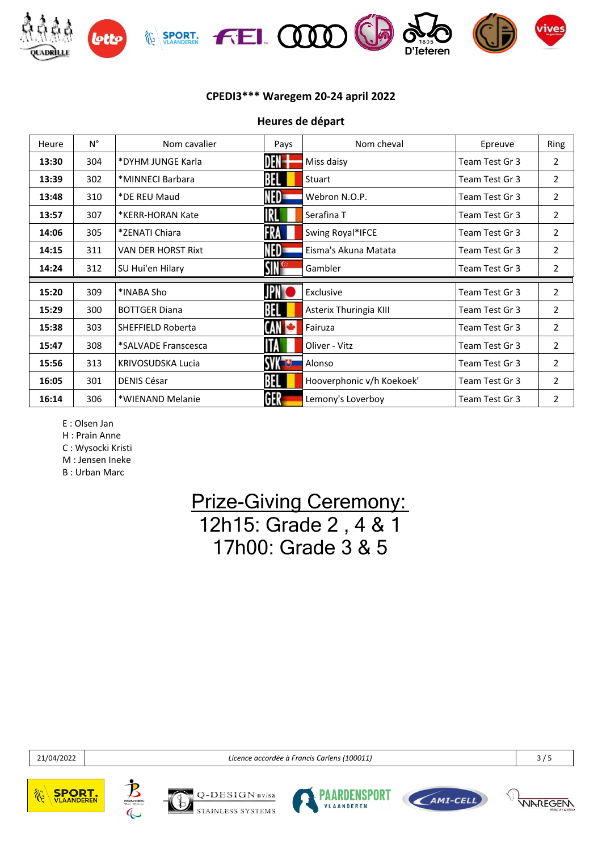

| Heure | $N^{\circ}$ | Nom cavalier              | Pays          | Nom cheval                | Epreuve        | Ring           |
|-------|-------------|---------------------------|---------------|---------------------------|----------------|----------------|
| 13:30 | 304         | *DYHM JUNGE Karla         | DEN-          | Miss daisy                | Team Test Gr 3 | $\overline{2}$ |
| 13:39 | 302         | *MINNECI Barbara          | BEL           | Stuart                    | Team Test Gr 3 | 2              |
| 13:48 | 310         | *DE REU Maud              | NED=          | Webron N.O.P.             | Team Test Gr 3 | $\overline{2}$ |
| 13:57 | 307         | *KERR-HORAN Kate          | IRL           | Serafina T                | Team Test Gr 3 | $\overline{2}$ |
| 14:06 | 305         | *ZENATI Chiara            | FRA           | Swing Royal*IFCE          | Team Test Gr 3 | 2              |
| 14:15 | 311         | <b>VAN DER HORST Rixt</b> | NED=          | Eisma's Akuna Matata      | Team Test Gr 3 | $\overline{2}$ |
| 14:24 | 312         | SU Hui'en Hilary          | <b>SING</b>   | Gambler                   | Team Test Gr 3 | 2              |
|       |             |                           |               |                           |                |                |
| 15:20 | 309         | *INABA Sho                |               | Exclusive                 | Team Test Gr 3 | $\overline{2}$ |
| 15:29 | 300         | <b>BOTTGER Diana</b>      | BEL           | Asterix Thuringia KIII    | Team Test Gr 3 | $\overline{2}$ |
| 15:38 | 303         | <b>SHEFFIELD Roberta</b>  | CAN           | Fairuza                   | Team Test Gr 3 | $\overline{2}$ |
| 15:47 | 308         | *SALVADE Franscesca       | ШA            | Oliver - Vitz             | Team Test Gr 3 | $\overline{2}$ |
| 15:56 | 313         | KRIVOSUDSKA Lucia         | <b>SVK UD</b> | Alonso                    | Team Test Gr 3 | $\overline{2}$ |
| 16:05 | 301         | <b>DENIS César</b>        | BEL           | Hooverphonic v/h Koekoek' | Team Test Gr 3 | $\overline{2}$ |
| 16:14 | 306         | *WIENAND Melanie          | GER           | Lemony's Loverboy         | Team Test Gr 3 | $\overline{2}$ |

**Heures de départ**

E : Olsen Jan

H : Prain Anne

C : Wysocki Kristi

M : Jensen Ineke B : Urban Marc

> **Prize-Giving Ceremony:** 12h15: Grade 2 , 4 & 1 17h00: Grade 3 & 5

21/04/2022 *Licence accordée à Francis Carlens (100011)* 3 / 5











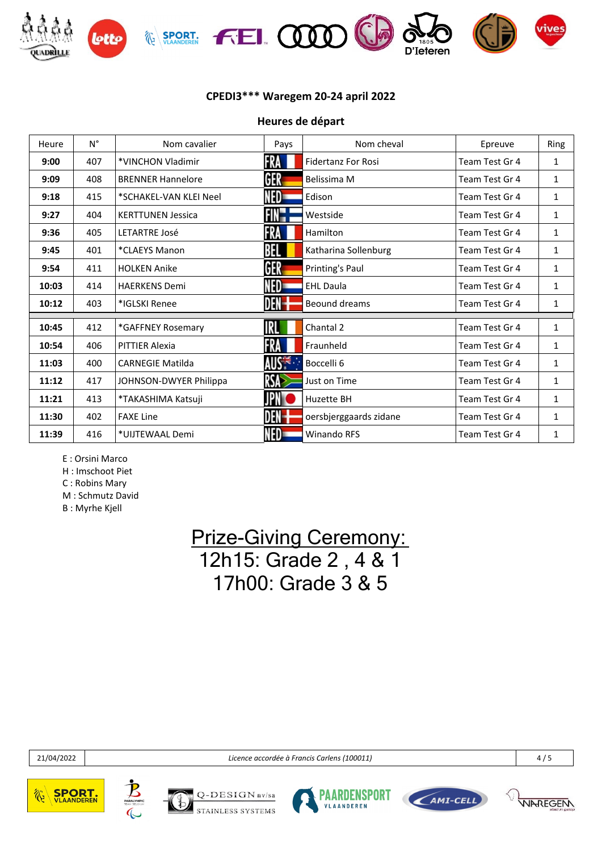

**Heures de départ**

| Heure | $N^{\circ}$ | Nom cavalier             | Pays              | Nom cheval                | Epreuve        | Ring         |
|-------|-------------|--------------------------|-------------------|---------------------------|----------------|--------------|
| 9:00  | 407         | *VINCHON Vladimir        | FRA               | <b>Fidertanz For Rosi</b> | Team Test Gr 4 | 1            |
| 9:09  | 408         | <b>BRENNER Hannelore</b> | GER               | Belissima M               | Team Test Gr 4 | 1            |
| 9:18  | 415         | *SCHAKEL-VAN KLEI Neel   | NED               | Edison                    | Team Test Gr 4 | $\mathbf{1}$ |
| 9:27  | 404         | <b>KERTTUNEN Jessica</b> | FIN".             | Westside                  | Team Test Gr 4 | 1            |
| 9:36  | 405         | <b>LETARTRE José</b>     | FRA               | Hamilton                  | Team Test Gr 4 | 1            |
| 9:45  | 401         | *CLAEYS Manon            | BEL               | Katharina Sollenburg      | Team Test Gr 4 | 1            |
| 9:54  | 411         | <b>HOLKEN Anike</b>      | GER               | Printing's Paul           | Team Test Gr 4 | $\mathbf{1}$ |
| 10:03 | 414         | <b>HAERKENS Demi</b>     | NED               | <b>EHL Daula</b>          | Team Test Gr 4 | 1            |
| 10:12 | 403         | *IGLSKI Renee            | DEN-              | Beound dreams             | Team Test Gr 4 | 1            |
|       |             |                          |                   |                           |                |              |
| 10:45 | 412         | *GAFFNEY Rosemary        | RL                | Chantal 2                 | Team Test Gr 4 | 1            |
| 10:54 | 406         | <b>PITTIER Alexia</b>    | FRA               | Fraunheld                 | Team Test Gr 4 | 1            |
| 11:03 | 400         | <b>CARNEGIE Matilda</b>  | AUS <sup>TE</sup> | Boccelli 6                | Team Test Gr 4 | 1            |
| 11:12 | 417         | JOHNSON-DWYER Philippa   | RSA               | Just on Time              | Team Test Gr 4 | 1            |
| 11:21 | 413         | *TAKASHIMA Katsuji       |                   | <b>Huzette BH</b>         | Team Test Gr 4 | 1            |
| 11:30 | 402         | <b>FAXE Line</b>         | DEN-              | oersbjerggaards zidane    | Team Test Gr 4 | 1            |
| 11:39 | 416         | *UIJTEWAAL Demi          | NED-              | <b>Winando RFS</b>        | Team Test Gr 4 | 1            |

E : Orsini Marco

H : Imschoot Piet

C : Robins Mary

M : Schmutz David

B : Myrhe Kjell

# **Prize-Giving Ceremony:** 12h15: Grade 2 , 4 & 1 17h00: Grade 3 & 5

21/04/2022 *Licence accordée à Francis Carlens (100011)* 4 / 5